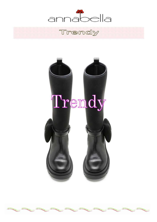

# Trendy

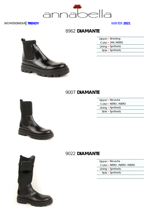

#### WOMENSWEAR **TRENDY**

WINTER **2021**

#### 8962 **DIAMANTE**

| Upper • Smoking    |  |
|--------------------|--|
| Color - 344 /NERO  |  |
| Lining • Synthetic |  |
| Sole • Synthetic   |  |
|                    |  |

#### 9007 **DIAMANTE**



| Upper · Nevada     |  |
|--------------------|--|
| Color - NERO /NERO |  |
| Lining • Synthetic |  |
| Sole • Synthetic   |  |
|                    |  |

#### 9022 **DIAMANTE**

Upper ▪ Nevada

Color ▪ NERO /NERO /NERO

Lining • Synthetic

Sole ▪ Synthetic

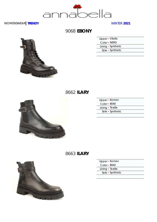

#### **9068 EBONY**

| Upper • Vitello |                    |
|-----------------|--------------------|
| Color • NERO    |                    |
|                 | Lining • Synthetic |
|                 | Sole • Synthetic   |
|                 |                    |





| Upper - Komen    |  |
|------------------|--|
| Color • 8040     |  |
| Lining · Textile |  |
| Sole • Synthetic |  |
|                  |  |

#### **ILARY** 8663



| Upper · Komen    |                  |  |
|------------------|------------------|--|
| Color - 8042     |                  |  |
| Lining · Textile |                  |  |
|                  | Sole • Synthetic |  |
|                  |                  |  |

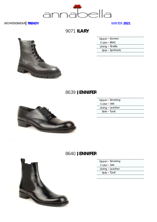

9071 **ILARY**

| Upper - Komen    |  |
|------------------|--|
| Color - 8041     |  |
| Lining • Textile |  |
| Sole • Synthetic |  |
|                  |  |

# 8639 **JENNIFER**



| Upper • Smoking  |  |
|------------------|--|
| $Color - 344$    |  |
| Lining · Leather |  |
| Sole • Tunit     |  |
|                  |  |

#### 8640 **JENNIFER**



| Upper • Smoking   |
|-------------------|
| Color $\cdot$ 344 |
| Lining • Leather  |
| Sole - Tunit      |
|                   |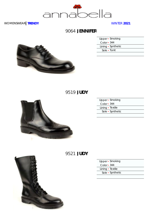

#### 9064 **JENNIFER**



| Upper • Smoking    |  |
|--------------------|--|
| Color - 344        |  |
| Lining • Synthetic |  |
| Sole - Tunit       |  |
|                    |  |

## 9519 **JUDY**



|                   | Upper - Smoking  |
|-------------------|------------------|
| Color $\cdot$ 344 |                  |
| Lining • Textile  |                  |
|                   | Sole • Synthetic |
|                   |                  |

## 9521 **JUDY**



|                  | Upper • Smoking  |
|------------------|------------------|
| $Color - 344$    |                  |
| Lining · Textile |                  |
|                  | Sole • Synthetic |
|                  |                  |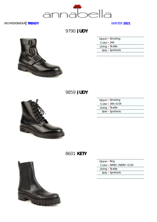

9790 **JUDY**

| Upper • Smoking  |  |
|------------------|--|
| $Color - 344$    |  |
| Lining · Textile |  |
| Sole • Synthetic |  |
|                  |  |

9859 **JUDY**



| Upper · Smoking   |  |
|-------------------|--|
| Color - 344 / G54 |  |
| Lining • Textile  |  |
| Sole • Synthetic  |  |
|                   |  |

# 8601 **KETY**



| Upper • Reg |  |
|-------------|--|
|-------------|--|

Color ▪ NERO /NERO /G20

Lining • Textile

Sole ▪ Synthetic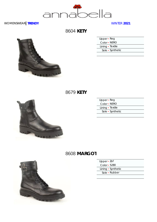

8604 **KETY**

| Upper $\cdot$ Reg |  |
|-------------------|--|
| Color • NERO      |  |
| Lining · Textile  |  |
| Sole • Synthetic  |  |
|                   |  |

8679 **KETY**



| $Upper \cdot Reg$ |  |
|-------------------|--|
| Color - NERO      |  |
| Lining • Textile  |  |
| Sole • Synthetic  |  |
|                   |  |

## 8608 **MARGOT**



| Upper • Zof |  |  |
|-------------|--|--|
|-------------|--|--|

- Color 5280
- Lining Synthetic
	- Sole Rubber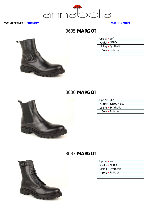

## 8635 **MARGOT**

| Upper $\cdot$ Zof  |  |
|--------------------|--|
| Color - NERO       |  |
| Lining • Synthetic |  |
| Sole • Rubber      |  |
|                    |  |

#### 8636 **MARGOT**



| Upper · Zof |                    |
|-------------|--------------------|
|             | Color - 5280 /NERO |
|             | Lining • Synthetic |
|             | Sole • Rubber      |
|             |                    |

#### 8637 **MARGOT**



|  | Upper · Zof |  |  |
|--|-------------|--|--|
|  |             |  |  |

Color ▪ NERO

Lining • Synthetic

Sole ▪ Rubber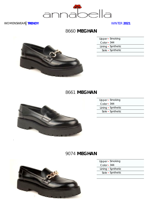

## 8660 **MEGHAN**



|               | Upper • Smoking    |
|---------------|--------------------|
| $Color - 344$ |                    |
|               | Lining • Synthetic |
|               | Sole • Synthetic   |
|               |                    |

# 8661 **MEGHAN**



|                   | Upper - Smoking    |
|-------------------|--------------------|
| Color $\cdot$ 344 |                    |
|                   | Lining • Synthetic |
|                   | Sole • Synthetic   |
|                   |                    |

# 9074 **MEGHAN**



|                   | Upper • Smoking    |
|-------------------|--------------------|
| Color $\cdot$ 344 |                    |
|                   | Lining • Synthetic |
|                   | Sole • Synthetic   |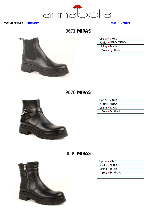

# 8671 **MIRAS**



| Upper · Vitello    |  |
|--------------------|--|
| Color - NERO /NERO |  |
| Lining • Textile   |  |
| Sole • Synthetic   |  |
|                    |  |

## 9078 **MIRAS**



| Upper - Vitello  |                  |
|------------------|------------------|
| Color • NERO     |                  |
| Lining • Textile |                  |
|                  | Sole • Synthetic |
|                  |                  |

## 9099 **MIRAS**



| Upper · Vitello  |  |
|------------------|--|
| Color - NERO     |  |
| Lining · Textile |  |
| Sole • Synthetic |  |
|                  |  |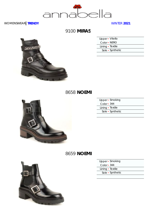

## 9100 **MIRAS**

| <b>ALABACES</b> |  |
|-----------------|--|
|                 |  |
|                 |  |
|                 |  |

| Upper • Vitello  |  |
|------------------|--|
| Color • NERO     |  |
| Lining · Textile |  |
| Sole • Synthetic |  |
|                  |  |

#### 8658 **NOEMI**



| Upper · Smoking  |  |
|------------------|--|
| $Color - 344$    |  |
| Lining • Textile |  |
| Sole • Synthetic |  |
|                  |  |

#### 8659 **NOEMI**



| Upper · Smoking |  |
|-----------------|--|
|-----------------|--|

- Color 344
- Lining Textile Sole ▪ Synthetic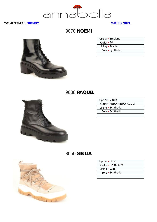

## 9070 **NOEMI**

| Upper • Smoking  |  |
|------------------|--|
| $Color - 344$    |  |
| Lining • Textile |  |
| Sole • Synthetic |  |
|                  |  |





| Upper - Vitello          |  |
|--------------------------|--|
| Color - NERO /NERO /G143 |  |
| Lining • Synthetic       |  |
| Sole • Synthetic         |  |
|                          |  |

## 8650 **SIBILLA**



| Upper - Blow        |  |
|---------------------|--|
| Color - 6260 / 4724 |  |
| Lining • Wool       |  |
| Sole • Synthetic    |  |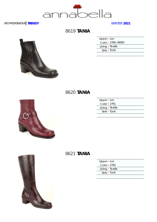

# 8619 **TANIA**

| $Upper - Lux$      |  |
|--------------------|--|
| Color - 2760 /NERO |  |
| Lining • Textile   |  |
| Sole - Tunit       |  |
|                    |  |





| Upper - Lux        |  |
|--------------------|--|
| Color $\cdot$ 2761 |  |
| Lining · Textile   |  |
| Sole • Tunit       |  |
|                    |  |

## 8621 **TANIA**

| Upper - Lux      |  |
|------------------|--|
| Color • 2762     |  |
| Lining · Textile |  |
| Sole - Tunit     |  |
|                  |  |